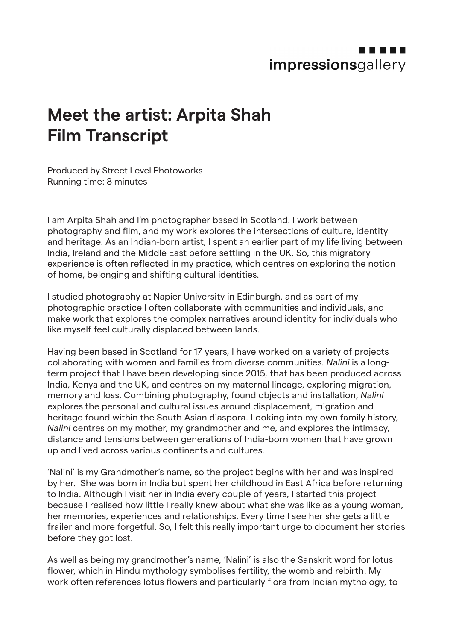## impressionsgallery

## **Meet the artist: Arpita Shah Film Transcript**

Produced by Street Level Photoworks Running time: 8 minutes

I am Arpita Shah and I'm photographer based in Scotland. I work between photography and film, and my work explores the intersections of culture, identity and heritage. As an Indian-born artist, I spent an earlier part of my life living between India, Ireland and the Middle East before settling in the UK. So, this migratory experience is often reflected in my practice, which centres on exploring the notion of home, belonging and shifting cultural identities.

I studied photography at Napier University in Edinburgh, and as part of my photographic practice I often collaborate with communities and individuals, and make work that explores the complex narratives around identity for individuals who like myself feel culturally displaced between lands.

Having been based in Scotland for 17 years, I have worked on a variety of projects collaborating with women and families from diverse communities. *Nalini* is a longterm project that I have been developing since 2015, that has been produced across India, Kenya and the UK, and centres on my maternal lineage, exploring migration, memory and loss. Combining photography, found objects and installation, *Nalini* explores the personal and cultural issues around displacement, migration and heritage found within the South Asian diaspora. Looking into my own family history, *Nalini* centres on my mother, my grandmother and me, and explores the intimacy, distance and tensions between generations of India-born women that have grown up and lived across various continents and cultures.

'Nalini' is my Grandmother's name, so the project begins with her and was inspired by her. She was born in India but spent her childhood in East Africa before returning to India. Although I visit her in India every couple of years, I started this project because I realised how little I really knew about what she was like as a young woman, her memories, experiences and relationships. Every time I see her she gets a little frailer and more forgetful. So, I felt this really important urge to document her stories before they got lost.

As well as being my grandmother's name, 'Nalini' is also the Sanskrit word for lotus flower, which in Hindu mythology symbolises fertility, the womb and rebirth. My work often references lotus flowers and particularly flora from Indian mythology, to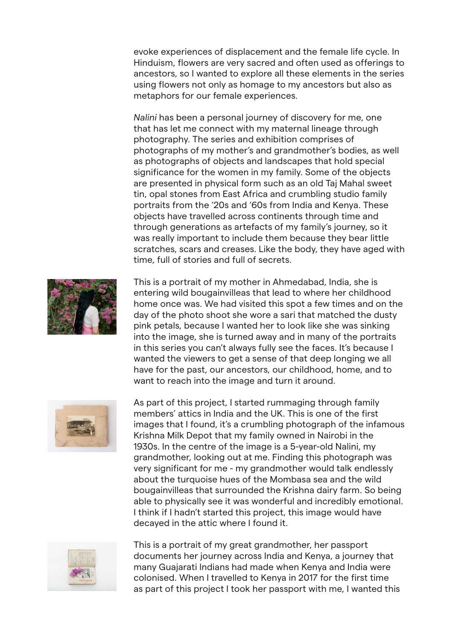evoke experiences of displacement and the female life cycle. In Hinduism, flowers are very sacred and often used as offerings to ancestors, so I wanted to explore all these elements in the series using flowers not only as homage to my ancestors but also as metaphors for our female experiences.

*Nalini* has been a personal journey of discovery for me, one that has let me connect with my maternal lineage through photography. The series and exhibition comprises of photographs of my mother's and grandmother's bodies, as well as photographs of objects and landscapes that hold special significance for the women in my family. Some of the objects are presented in physical form such as an old Taj Mahal sweet tin, opal stones from East Africa and crumbling studio family portraits from the '20s and '60s from India and Kenya. These objects have travelled across continents through time and through generations as artefacts of my family's journey, so it was really important to include them because they bear little scratches, scars and creases. Like the body, they have aged with time, full of stories and full of secrets.



This is a portrait of my mother in Ahmedabad, India, she is entering wild bougainvilleas that lead to where her childhood home once was. We had visited this spot a few times and on the day of the photo shoot she wore a sari that matched the dusty pink petals, because I wanted her to look like she was sinking into the image, she is turned away and in many of the portraits in this series you can't always fully see the faces. It's because I wanted the viewers to get a sense of that deep longing we all have for the past, our ancestors, our childhood, home, and to want to reach into the image and turn it around.



As part of this project, I started rummaging through family members' attics in India and the UK. This is one of the first images that I found, it's a crumbling photograph of the infamous Krishna Milk Depot that my family owned in Nairobi in the 1930s. In the centre of the image is a 5-year-old Nalini, my grandmother, looking out at me. Finding this photograph was very significant for me - my grandmother would talk endlessly about the turquoise hues of the Mombasa sea and the wild bougainvilleas that surrounded the Krishna dairy farm. So being able to physically see it was wonderful and incredibly emotional. I think if I hadn't started this project, this image would have decayed in the attic where I found it.



This is a portrait of my great grandmother, her passport documents her journey across India and Kenya, a journey that many Guajarati Indians had made when Kenya and India were colonised. When I travelled to Kenya in 2017 for the first time as part of this project I took her passport with me, I wanted this